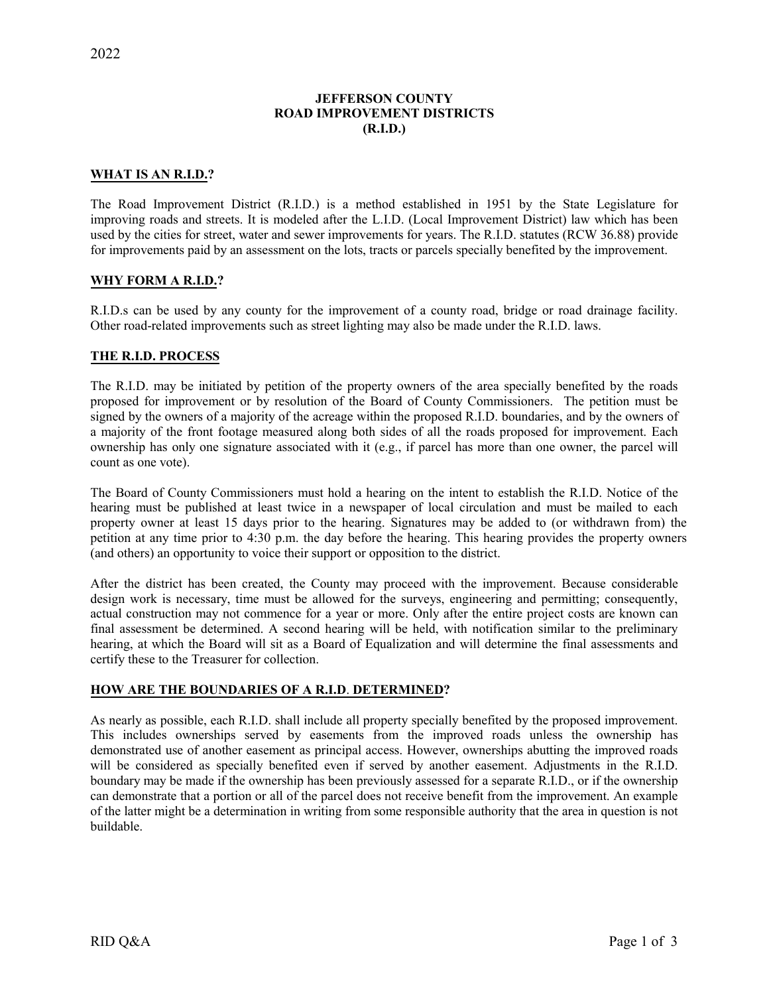## **JEFFERSON COUNTY ROAD IMPROVEMENT DISTRICTS (R.I.D.)**

#### **WHAT IS AN R.I.D.?**

The Road Improvement District (R.I.D.) is a method established in 1951 by the State Legislature for improving roads and streets. It is modeled after the L.I.D. (Local Improvement District) law which has been used by the cities for street, water and sewer improvements for years. The R.I.D. statutes (RCW 36.88) provide for improvements paid by an assessment on the lots, tracts or parcels specially benefited by the improvement.

## **WHY FORM A R.I.D.?**

R.I.D.s can be used by any county for the improvement of a county road, bridge or road drainage facility. Other road-related improvements such as street lighting may also be made under the R.I.D. laws.

#### **THE R.I.D. PROCESS**

The R.I.D. may be initiated by petition of the property owners of the area specially benefited by the roads proposed for improvement or by resolution of the Board of County Commissioners. The petition must be signed by the owners of a majority of the acreage within the proposed R.I.D. boundaries, and by the owners of a majority of the front footage measured along both sides of all the roads proposed for improvement. Each ownership has only one signature associated with it (e.g., if parcel has more than one owner, the parcel will count as one vote).

The Board of County Commissioners must hold a hearing on the intent to establish the R.I.D. Notice of the hearing must be published at least twice in a newspaper of local circulation and must be mailed to each property owner at least 15 days prior to the hearing. Signatures may be added to (or withdrawn from) the petition at any time prior to 4:30 p.m. the day before the hearing. This hearing provides the property owners (and others) an opportunity to voice their support or opposition to the district.

After the district has been created, the County may proceed with the improvement. Because considerable design work is necessary, time must be allowed for the surveys, engineering and permitting; consequently, actual construction may not commence for a year or more. Only after the entire project costs are known can final assessment be determined. A second hearing will be held, with notification similar to the preliminary hearing, at which the Board will sit as a Board of Equalization and will determine the final assessments and certify these to the Treasurer for collection.

#### **HOW ARE THE BOUNDARIES OF A R.I.D**. **DETERMINED?**

As nearly as possible, each R.I.D. shall include all property specially benefited by the proposed improvement. This includes ownerships served by easements from the improved roads unless the ownership has demonstrated use of another easement as principal access. However, ownerships abutting the improved roads will be considered as specially benefited even if served by another easement. Adjustments in the R.I.D. boundary may be made if the ownership has been previously assessed for a separate R.I.D., or if the ownership can demonstrate that a portion or all of the parcel does not receive benefit from the improvement. An example of the latter might be a determination in writing from some responsible authority that the area in question is not buildable.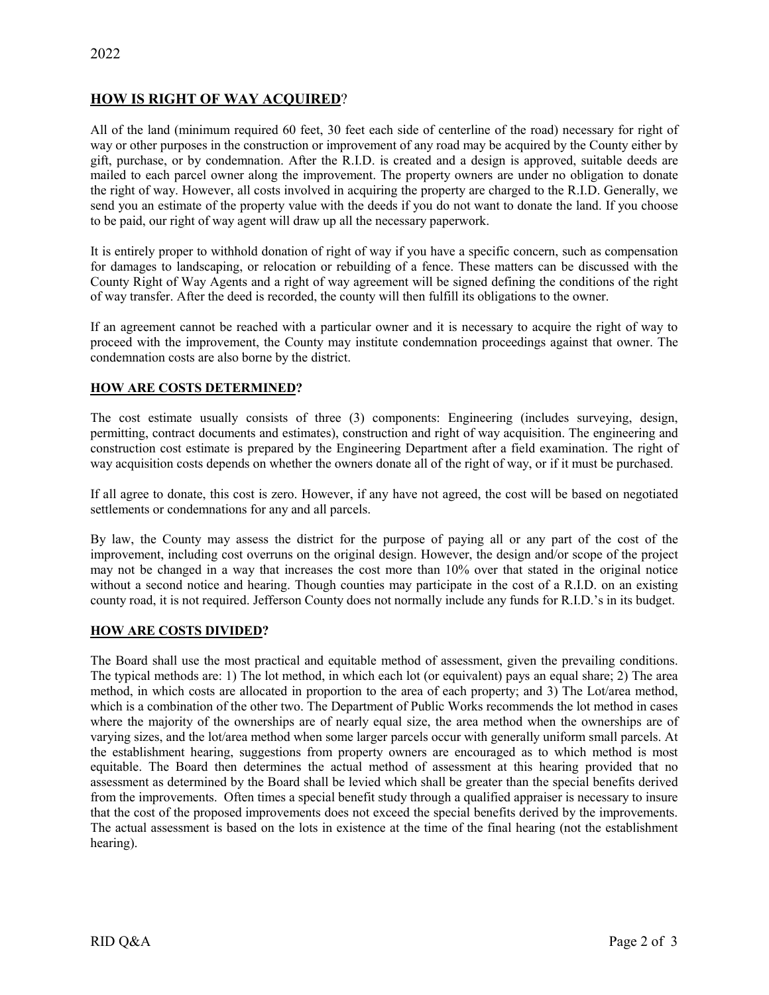# **HOW IS RIGHT OF WAY ACQUIRED**?

All of the land (minimum required 60 feet, 30 feet each side of centerline of the road) necessary for right of way or other purposes in the construction or improvement of any road may be acquired by the County either by gift, purchase, or by condemnation. After the R.I.D. is created and a design is approved, suitable deeds are mailed to each parcel owner along the improvement. The property owners are under no obligation to donate the right of way. However, all costs involved in acquiring the property are charged to the R.I.D. Generally, we send you an estimate of the property value with the deeds if you do not want to donate the land. If you choose to be paid, our right of way agent will draw up all the necessary paperwork.

It is entirely proper to withhold donation of right of way if you have a specific concern, such as compensation for damages to landscaping, or relocation or rebuilding of a fence. These matters can be discussed with the County Right of Way Agents and a right of way agreement will be signed defining the conditions of the right of way transfer. After the deed is recorded, the county will then fulfill its obligations to the owner.

If an agreement cannot be reached with a particular owner and it is necessary to acquire the right of way to proceed with the improvement, the County may institute condemnation proceedings against that owner. The condemnation costs are also borne by the district.

## **HOW ARE COSTS DETERMINED?**

The cost estimate usually consists of three (3) components: Engineering (includes surveying, design, permitting, contract documents and estimates), construction and right of way acquisition. The engineering and construction cost estimate is prepared by the Engineering Department after a field examination. The right of way acquisition costs depends on whether the owners donate all of the right of way, or if it must be purchased.

If all agree to donate, this cost is zero. However, if any have not agreed, the cost will be based on negotiated settlements or condemnations for any and all parcels.

By law, the County may assess the district for the purpose of paying all or any part of the cost of the improvement, including cost overruns on the original design. However, the design and/or scope of the project may not be changed in a way that increases the cost more than 10% over that stated in the original notice without a second notice and hearing. Though counties may participate in the cost of a R.I.D. on an existing county road, it is not required. Jefferson County does not normally include any funds for R.I.D.'s in its budget.

## **HOW ARE COSTS DIVIDED?**

The Board shall use the most practical and equitable method of assessment, given the prevailing conditions. The typical methods are: 1) The lot method, in which each lot (or equivalent) pays an equal share; 2) The area method, in which costs are allocated in proportion to the area of each property; and 3) The Lot/area method, which is a combination of the other two. The Department of Public Works recommends the lot method in cases where the majority of the ownerships are of nearly equal size, the area method when the ownerships are of varying sizes, and the lot/area method when some larger parcels occur with generally uniform small parcels. At the establishment hearing, suggestions from property owners are encouraged as to which method is most equitable. The Board then determines the actual method of assessment at this hearing provided that no assessment as determined by the Board shall be levied which shall be greater than the special benefits derived from the improvements. Often times a special benefit study through a qualified appraiser is necessary to insure that the cost of the proposed improvements does not exceed the special benefits derived by the improvements. The actual assessment is based on the lots in existence at the time of the final hearing (not the establishment hearing).